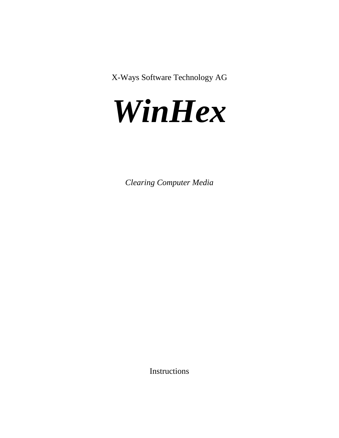X-Ways Software Technology AG



*Clearing Computer Media*

Instructions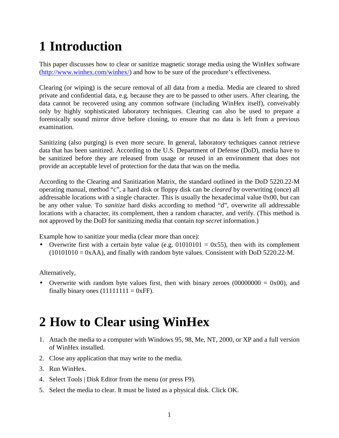## **1 Introduction**

This paper discusses how to clear or sanitize magnetic storage media using the WinHex software ([http://www.winhex.com/winhex/\)](http://www.winhex.com/winhex/) and how to be sure of the procedure's effectiveness.

Clearing (or wiping) is the secure removal of all data from a media. Media are cleared to shred private and confidential data, e.g. because they are to be passed to other users. After clearing, the data cannot be recovered using any common software (including WinHex itself), conveivably only by highly sophisticated laboratory techniques. Clearing can also be used to prepare a forensically sound mirror drive before cloning, to ensure that no data is left from a previous examination.

Sanitizing (also purging) is even more secure. In general, laboratory techniques cannot retrieve data that has been sanitized. According to the U.S. Department of Defense (DoD), media have to be sanitized before they are released from usage or reused in an environment that does not provide an acceptable level of protection for the data that was on the media.

According to the Clearing and Sanitization Matrix, the standard outlined in the DoD 5220.22-M operating manual, method "c", a hard disk or floppy disk can be *cleared* by overwriting (once) all addressable locations with a single character. This is usually the hexadecimal value 0x00, but can be any other value. To *sanitize* hard disks according to method "d", overwrite all addressable locations with a character, its complement, then a random character, and verify. (This method is not approved by the DoD for sanitizing media that contain *top secret* information.)

Example how to sanitize your media (clear more than once):

• Overwrite first with a certain byte value (e.g.  $01010101 = 0x55$ ), then with its complement  $(10101010 = 0xAA)$ , and finally with random byte values. Consistent with DoD 5220.22-M.

Alternatively,

• Overwrite with random byte values first, then with binary zeroes  $(00000000 = 0x00)$ , and finally binary ones  $(11111111 = 0 \text{xFF})$ .

## **2 How to Clear using WinHex**

- 1. Attach the media to a computer with Windows 95, 98, Me, NT, 2000, or XP and a full version of WinHex installed.
- 2. Close any application that may write to the media.
- 3. Run WinHex.
- 4. Select Tools | Disk Editor from the menu (or press F9).
- 5. Select the media to clear. It must be listed as a physical disk. Click OK.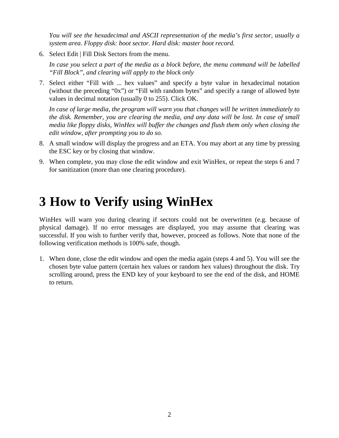*You will see the hexadecimal and ASCII representation of the media's first sector, usually a system area. Floppy disk: boot sector. Hard disk: master boot record.*

6. Select Edit | Fill Disk Sectors from the menu.

*In case you select a part of the media as a block before, the menu command will be labelled "Fill Block", and clearing will apply to the block only*

7. Select either "Fill with ... hex values" and specify a byte value in hexadecimal notation (without the preceding "0x") or "Fill with random bytes" and specify a range of allowed byte values in decimal notation (usually 0 to 255). Click OK.

*In case of large media, the program will warn you that changes will be written immediately to the disk. Remember, you are clearing the media, and any data will be lost. In case of small media like floppy disks, WinHex will buffer the changes and flush them only when closing the edit window, after prompting you to do so.*

- 8. A small window will display the progress and an ETA. You may abort at any time by pressing the ESC key or by closing that window.
- 9. When complete, you may close the edit window and exit WinHex, or repeat the steps 6 and 7 for sanitization (more than one clearing procedure).

## **3 How to Verify using WinHex**

WinHex will warn you during clearing if sectors could not be overwritten (e.g. because of physical damage). If no error messages are displayed, you may assume that clearing was successful. If you wish to further verify that, however, proceed as follows. Note that none of the following verification methods is 100% safe, though.

1. When done, close the edit window and open the media again (steps 4 and 5). You will see the chosen byte value pattern (certain hex values or random hex values) throughout the disk. Try scrolling around, press the END key of your keyboard to see the end of the disk, and HOME to return.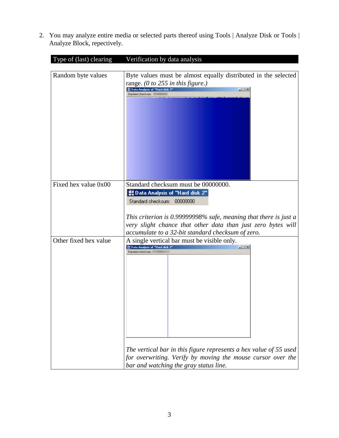2. You may analyze entire media or selected parts thereof using Tools | Analyze Disk or Tools | Analyze Block, repectively.

| Type of (last) clearing | Verification by data analysis                                                                                                                                                                                                                                                                                                                  |
|-------------------------|------------------------------------------------------------------------------------------------------------------------------------------------------------------------------------------------------------------------------------------------------------------------------------------------------------------------------------------------|
| Random byte values      | Byte values must be almost equally distributed in the selected<br>range. (0 to 255 in this figure.)<br>E: Data Analysis of "Hard disk 2"<br>国凶<br>Standard checksum:                                                                                                                                                                           |
| Fixed hex value 0x00    | Standard checksum must be 00000000.<br>器 Data Analysis of "Hard disk 2"<br>Standard checksum: 00000000<br>This criterion is 0.99999998% safe, meaning that there is just a<br>very slight chance that other data than just zero bytes will<br>accumulate to a 32-bit standard checksum of zero.                                                |
| Other fixed hex value   | A single vertical bar must be visible only.<br>$\frac{1}{2}$ $\frac{1}{2}$ $\frac{1}{2}$ $\frac{1}{2}$<br>"E Data Analysis of "Hard disk 2"<br>Standard checksum<br>The vertical bar in this figure represents a hex value of 55 used<br>for overwriting. Verify by moving the mouse cursor over the<br>bar and watching the gray status line. |